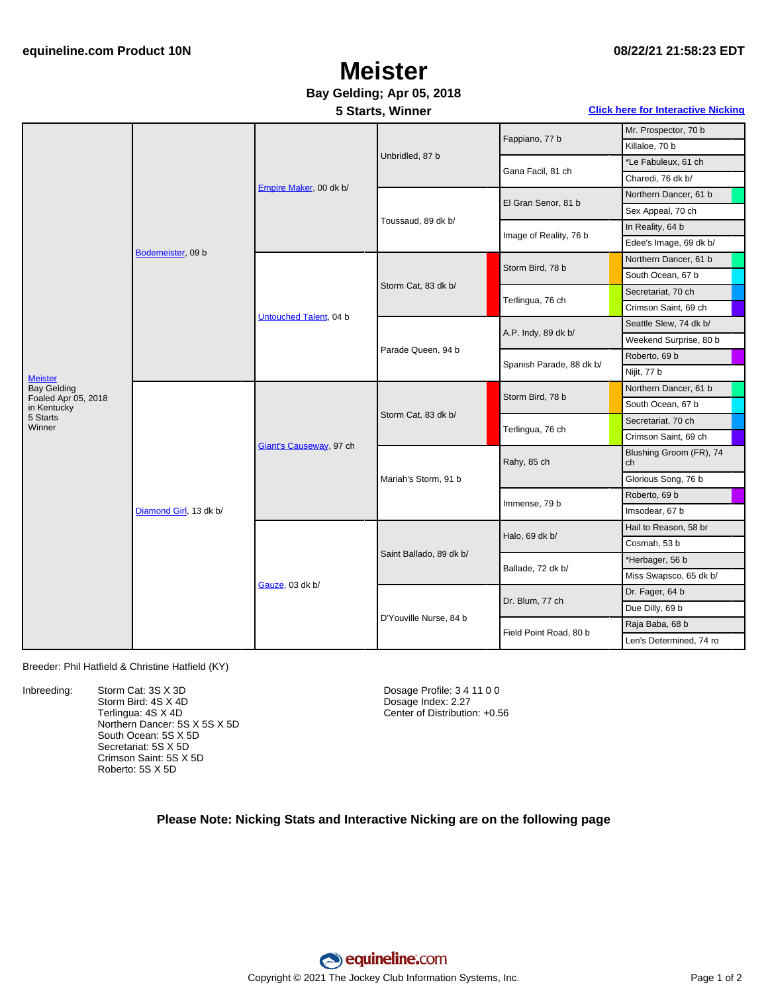## **Meister**

### **Bay Gelding; Apr 05, 2018**

#### **5 Starts, Winner Click here for [Interactive](#page-1-0) Nicking**

| <b>Meister</b><br><b>Bay Gelding</b><br>Foaled Apr 05, 2018<br>in Kentucky<br>5 Starts<br>Winner | Bodemeister, 09 b      | Empire Maker, 00 dk b/  | Unbridled, 87 b         | Fappiano, 77 b           | Mr. Prospector, 70 b          |
|--------------------------------------------------------------------------------------------------|------------------------|-------------------------|-------------------------|--------------------------|-------------------------------|
|                                                                                                  |                        |                         |                         |                          | Killaloe, 70 b                |
|                                                                                                  |                        |                         |                         | Gana Facil, 81 ch        | *Le Fabuleux, 61 ch           |
|                                                                                                  |                        |                         |                         |                          | Charedi, 76 dk b/             |
|                                                                                                  |                        |                         | Toussaud, 89 dk b/      | El Gran Senor, 81 b      | Northern Dancer, 61 b         |
|                                                                                                  |                        |                         |                         |                          | Sex Appeal, 70 ch             |
|                                                                                                  |                        |                         |                         | Image of Reality, 76 b   | In Reality, 64 b              |
|                                                                                                  |                        |                         |                         |                          | Edee's Image, 69 dk b/        |
|                                                                                                  |                        | Untouched Talent, 04 b  | Storm Cat, 83 dk b/     | Storm Bird, 78 b         | Northern Dancer, 61 b         |
|                                                                                                  |                        |                         |                         |                          | South Ocean, 67 b             |
|                                                                                                  |                        |                         |                         | Terlingua, 76 ch         | Secretariat, 70 ch            |
|                                                                                                  |                        |                         |                         |                          | Crimson Saint, 69 ch          |
|                                                                                                  |                        |                         | Parade Queen, 94 b      | A.P. Indy, 89 dk b/      | Seattle Slew, 74 dk b/        |
|                                                                                                  |                        |                         |                         |                          | Weekend Surprise, 80 b        |
|                                                                                                  |                        |                         |                         | Spanish Parade, 88 dk b/ | Roberto, 69 b                 |
|                                                                                                  |                        |                         |                         |                          | Nijit, 77 b                   |
|                                                                                                  | Diamond Girl, 13 dk b/ | Giant's Causeway, 97 ch | Storm Cat, 83 dk b/     | Storm Bird, 78 b         | Northern Dancer, 61 b         |
|                                                                                                  |                        |                         |                         |                          | South Ocean, 67 b             |
|                                                                                                  |                        |                         |                         | Terlingua, 76 ch         | Secretariat, 70 ch            |
|                                                                                                  |                        |                         |                         |                          | Crimson Saint, 69 ch          |
|                                                                                                  |                        |                         | Mariah's Storm, 91 b    | Rahy, 85 ch              | Blushing Groom (FR), 74<br>ch |
|                                                                                                  |                        |                         |                         |                          | Glorious Song, 76 b           |
|                                                                                                  |                        |                         |                         | Immense, 79 b            | Roberto, 69 b                 |
|                                                                                                  |                        |                         |                         |                          | Imsodear, 67 b                |
|                                                                                                  |                        | Gauze, 03 dk b/         | Saint Ballado, 89 dk b/ | Halo, 69 dk b/           | Hail to Reason, 58 br         |
|                                                                                                  |                        |                         |                         |                          | Cosmah, 53 b                  |
|                                                                                                  |                        |                         |                         | Ballade, 72 dk b/        | *Herbager, 56 b               |
|                                                                                                  |                        |                         |                         |                          | Miss Swapsco, 65 dk b/        |
|                                                                                                  |                        |                         | D'Youville Nurse, 84 b  | Dr. Blum, 77 ch          | Dr. Fager, 64 b               |
|                                                                                                  |                        |                         |                         |                          | Due Dilly, 69 b               |
|                                                                                                  |                        |                         |                         | Field Point Road, 80 b   | Raja Baba, 68 b               |
|                                                                                                  |                        |                         |                         |                          | Len's Determined, 74 ro       |

#### Breeder: Phil Hatfield & Christine Hatfield (KY)

Inbreeding: Storm Cat: 3S X 3D Storm Bird: 4S X 4D Terlingua: 4S X 4D Northern Dancer: 5S X 5S X 5D South Ocean: 5S X 5D Secretariat: 5S X 5D Crimson Saint: 5S X 5D Roberto: 5S X 5D

Dosage Profile: 3 4 11 0 0 Dosage Index: 2.27 Center of Distribution: +0.56

#### **Please Note: Nicking Stats and Interactive Nicking are on the following page**